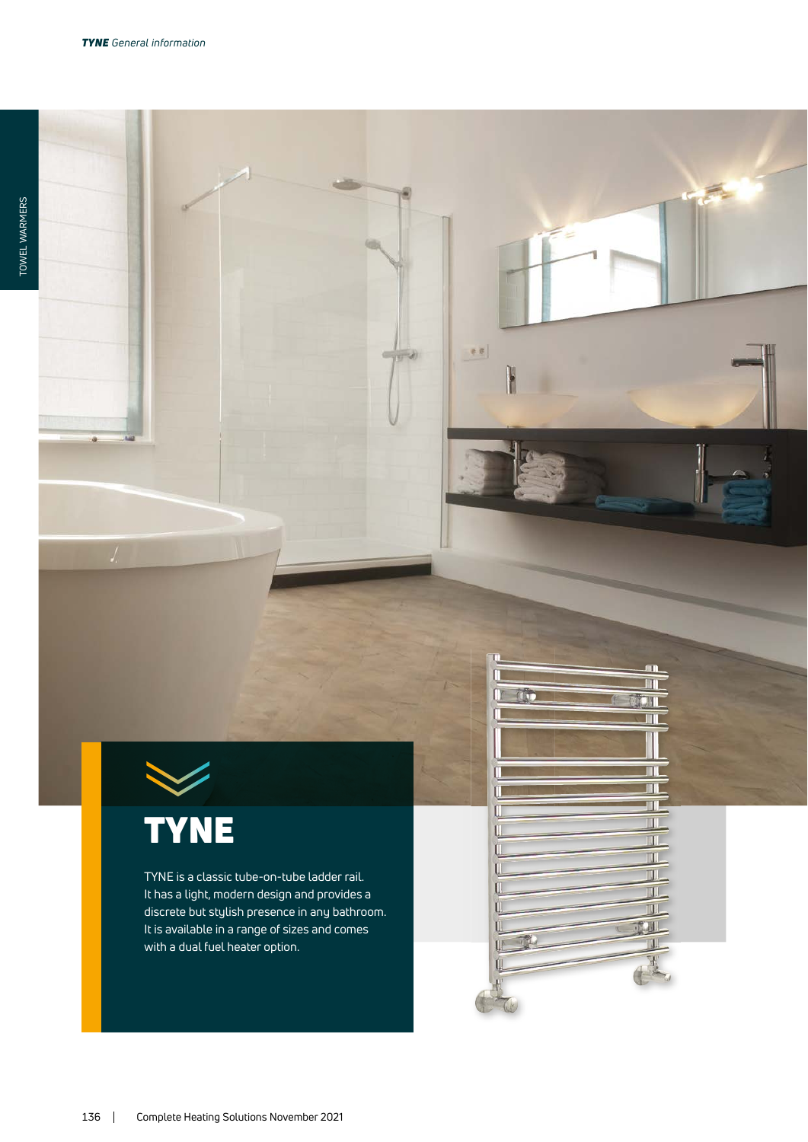# TYNE

TYNE is a classic tube-on-tube ladder rail. It has a light, modern design and provides a discrete but stylish presence in any bathroom. It is available in a range of sizes and comes with a dual fuel heater option.

 $\mathfrak{g} \in \mathfrak{g}$ 

 $\frac{1}{2}$ 

 $\Box$ 

TT. T T TI.  $\overline{\mathbf{U}}$  $\overline{\mathbf{u}}$ TT. TIL  $\overline{\mathbb{H}}$ **CALL** T H